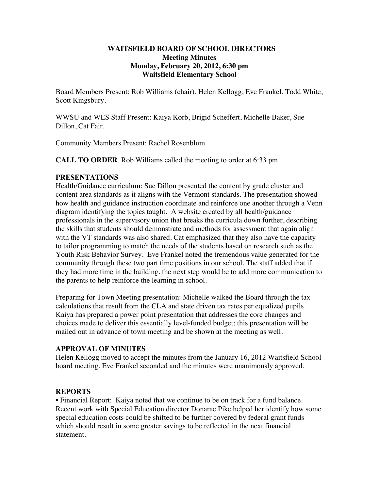### **WAITSFIELD BOARD OF SCHOOL DIRECTORS Meeting Minutes Monday, February 20, 2012, 6:30 pm Waitsfield Elementary School**

Board Members Present: Rob Williams (chair), Helen Kellogg, Eve Frankel, Todd White, Scott Kingsbury.

WWSU and WES Staff Present: Kaiya Korb, Brigid Scheffert, Michelle Baker, Sue Dillon, Cat Fair.

Community Members Present: Rachel Rosenblum

**CALL TO ORDER**. Rob Williams called the meeting to order at 6:33 pm.

### **PRESENTATIONS**

Health/Guidance curriculum: Sue Dillon presented the content by grade cluster and content area standards as it aligns with the Vermont standards. The presentation showed how health and guidance instruction coordinate and reinforce one another through a Venn diagram identifying the topics taught. A website created by all health/guidance professionals in the supervisory union that breaks the curricula down further, describing the skills that students should demonstrate and methods for assessment that again align with the VT standards was also shared. Cat emphasized that they also have the capacity to tailor programming to match the needs of the students based on research such as the Youth Risk Behavior Survey. Eve Frankel noted the tremendous value generated for the community through these two part time positions in our school. The staff added that if they had more time in the building, the next step would be to add more communication to the parents to help reinforce the learning in school.

Preparing for Town Meeting presentation: Michelle walked the Board through the tax calculations that result from the CLA and state driven tax rates per equalized pupils. Kaiya has prepared a power point presentation that addresses the core changes and choices made to deliver this essentially level-funded budget; this presentation will be mailed out in advance of town meeting and be shown at the meeting as well.

# **APPROVAL OF MINUTES**

Helen Kellogg moved to accept the minutes from the January 16, 2012 Waitsfield School board meeting. Eve Frankel seconded and the minutes were unanimously approved.

# **REPORTS**

• Financial Report: Kaiya noted that we continue to be on track for a fund balance. Recent work with Special Education director Donarae Pike helped her identify how some special education costs could be shifted to be further covered by federal grant funds which should result in some greater savings to be reflected in the next financial statement.